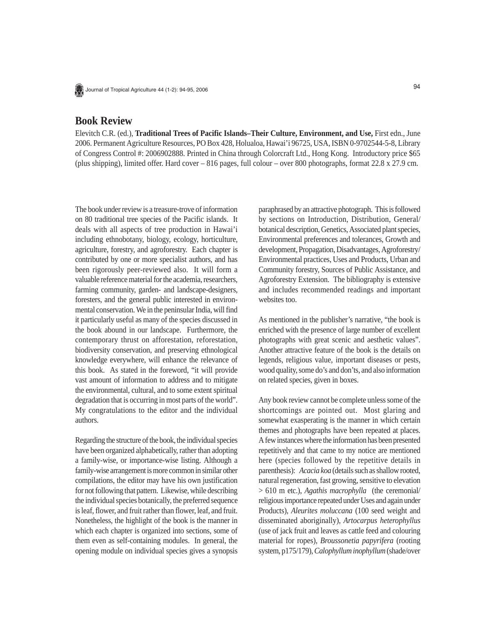

Journal of Tropical Agriculture 44 (1-2): 94-95, 2006

## **Book Review**

Elevitch C.R. (ed.), **Traditional Trees of Pacific Islands–Their Culture, Environment, and Use,** First edn., June 2006. Permanent Agriculture Resources, PO Box 428, Holualoa, Hawai'i 96725, USA, ISBN 0-9702544-5-8, Library of Congress Control #: 2006902888. Printed in China through Colorcraft Ltd., Hong Kong. Introductory price \$65 (plus shipping), limited offer. Hard cover – 816 pages, full colour – over 800 photographs, format 22.8 x 27.9 cm.

The book under review is a treasure-trove of information on 80 traditional tree species of the Pacific islands. It deals with all aspects of tree production in Hawai'i including ethnobotany, biology, ecology, horticulture, agriculture, forestry, and agroforestry. Each chapter is contributed by one or more specialist authors, and has been rigorously peer-reviewed also. It will form a valuable reference material for the academia, researchers, farming community, garden- and landscape-designers, foresters, and the general public interested in environmental conservation. We in the peninsular India, will find it particularly useful as many of the species discussed in the book abound in our landscape. Furthermore, the contemporary thrust on afforestation, reforestation, biodiversity conservation, and preserving ethnological knowledge everywhere, will enhance the relevance of this book. As stated in the foreword, "it will provide vast amount of information to address and to mitigate the environmental, cultural, and to some extent spiritual degradation that is occurring in most parts of the world". My congratulations to the editor and the individual authors.

Regarding the structure of the book, the individual species have been organized alphabetically, rather than adopting a family-wise, or importance-wise listing. Although a family-wise arrangement is more common in similar other compilations, the editor may have his own justification for not following that pattern. Likewise, while describing the individual species botanically, the preferred sequence is leaf, flower, and fruit rather than flower, leaf, and fruit. Nonetheless, the highlight of the book is the manner in which each chapter is organized into sections, some of them even as self-containing modules. In general, the opening module on individual species gives a synopsis paraphrased by an attractive photograph. This is followed by sections on Introduction, Distribution, General/ botanical description, Genetics, Associated plant species, Environmental preferences and tolerances, Growth and development, Propagation, Disadvantages, Agroforestry/ Environmental practices, Uses and Products, Urban and Community forestry, Sources of Public Assistance, and Agroforestry Extension. The bibliography is extensive and includes recommended readings and important websites too.

As mentioned in the publisher's narrative, "the book is enriched with the presence of large number of excellent photographs with great scenic and aesthetic values". Another attractive feature of the book is the details on legends, religious value, important diseases or pests, wood quality, some do's and don'ts, and also information on related species, given in boxes.

Any book review cannot be complete unless some of the shortcomings are pointed out. Most glaring and somewhat exasperating is the manner in which certain themes and photographs have been repeated at places. A few instances where the information has been presented repetitively and that came to my notice are mentioned here (species followed by the repetitive details in parenthesis): *Acacia koa* (details such as shallow rooted, natural regeneration, fast growing, sensitive to elevation > 610 m etc.), *Agathis macrophylla* (the ceremonial/ religious importance repeated under Uses and again under Products), *Aleurites moluccana* (100 seed weight and disseminated aboriginally), *Artocarpus heterophyllus* (use of jack fruit and leaves as cattle feed and colouring material for ropes), *Broussonetia papyrifera* (rooting system, p175/179), *Calophyllum inophyllum* (shade/over